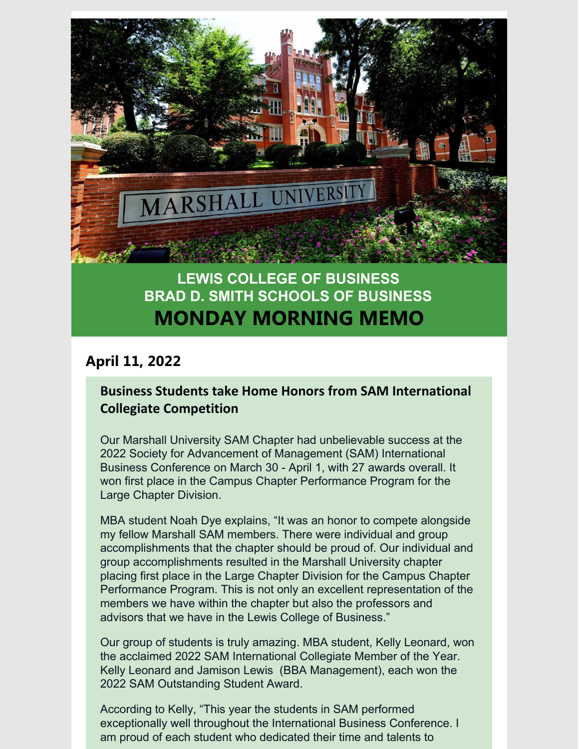

# **LEWIS COLLEGE OF BUSINESS BRAD D. SMITH SCHOOLS OF BUSINESS MONDAY MORNING MEMO**

## **April 11, 2022**

### **Business Students take Home Honors from SAM International Collegiate Competition**

Our Marshall University SAM Chapter had unbelievable success at the 2022 Society for Advancement of Management (SAM) International Business Conference on March 30 - April 1, with 27 awards overall. It won first place in the Campus Chapter Performance Program for the Large Chapter Division.

MBA student Noah Dye explains, "It was an honor to compete alongside my fellow Marshall SAM members. There were individual and group accomplishments that the chapter should be proud of. Our individual and group accomplishments resulted in the Marshall University chapter placing first place in the Large Chapter Division for the Campus Chapter Performance Program. This is not only an excellent representation of the members we have within the chapter but also the professors and advisors that we have in the Lewis College of Business."

Our group of students is truly amazing. MBA student, Kelly Leonard, won the acclaimed 2022 SAM International Collegiate Member of the Year. Kelly Leonard and Jamison Lewis (BBA Management), each won the 2022 SAM Outstanding Student Award.

According to Kelly, "This year the students in SAM performed exceptionally well throughout the International Business Conference. I am proud of each student who dedicated their time and talents to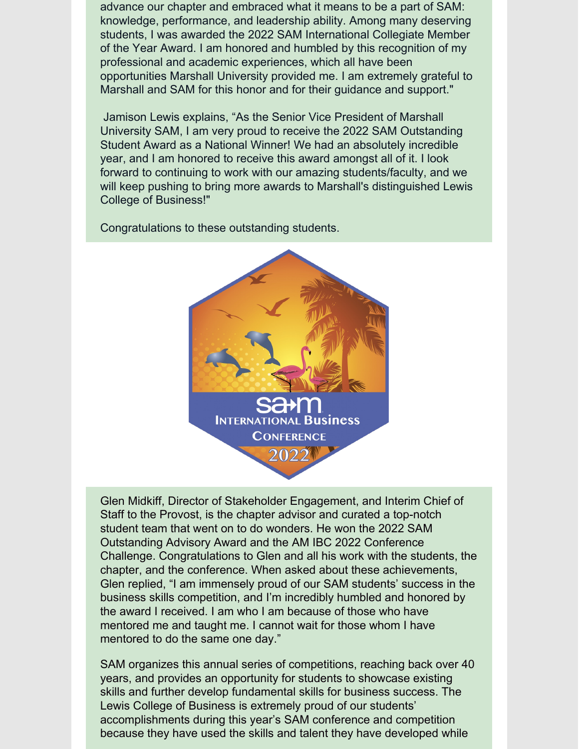advance our chapter and embraced what it means to be a part of SAM: knowledge, performance, and leadership ability. Among many deserving students, I was awarded the 2022 SAM International Collegiate Member of the Year Award. I am honored and humbled by this recognition of my professional and academic experiences, which all have been opportunities Marshall University provided me. I am extremely grateful to Marshall and SAM for this honor and for their guidance and support."

Jamison Lewis explains, "As the Senior Vice President of Marshall University SAM, I am very proud to receive the 2022 SAM Outstanding Student Award as a National Winner! We had an absolutely incredible year, and I am honored to receive this award amongst all of it. I look forward to continuing to work with our amazing students/faculty, and we will keep pushing to bring more awards to Marshall's distinguished Lewis College of Business!"

Congratulations to these outstanding students.



Glen Midkiff, Director of Stakeholder Engagement, and Interim Chief of Staff to the Provost, is the chapter advisor and curated a top-notch student team that went on to do wonders. He won the 2022 SAM Outstanding Advisory Award and the AM IBC 2022 Conference Challenge. Congratulations to Glen and all his work with the students, the chapter, and the conference. When asked about these achievements, Glen replied, "I am immensely proud of our SAM students' success in the business skills competition, and I'm incredibly humbled and honored by the award I received. I am who I am because of those who have mentored me and taught me. I cannot wait for those whom I have mentored to do the same one day."

SAM organizes this annual series of competitions, reaching back over 40 years, and provides an opportunity for students to showcase existing skills and further develop fundamental skills for business success. The Lewis College of Business is extremely proud of our students' accomplishments during this year's SAM conference and competition because they have used the skills and talent they have developed while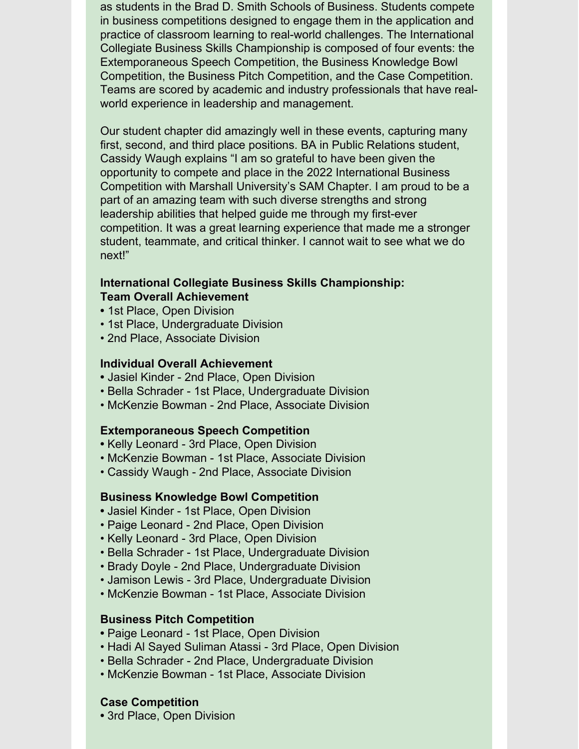as students in the Brad D. Smith Schools of Business. Students compete in business competitions designed to engage them in the application and practice of classroom learning to real-world challenges. The International Collegiate Business Skills Championship is composed of four events: the Extemporaneous Speech Competition, the Business Knowledge Bowl Competition, the Business Pitch Competition, and the Case Competition. Teams are scored by academic and industry professionals that have realworld experience in leadership and management.

Our student chapter did amazingly well in these events, capturing many first, second, and third place positions. BA in Public Relations student, Cassidy Waugh explains "I am so grateful to have been given the opportunity to compete and place in the 2022 International Business Competition with Marshall University's SAM Chapter. I am proud to be a part of an amazing team with such diverse strengths and strong leadership abilities that helped guide me through my first-ever competition. It was a great learning experience that made me a stronger student, teammate, and critical thinker. I cannot wait to see what we do next!"

#### **International Collegiate Business Skills Championship: Team Overall Achievement**

- **•** 1st Place, Open Division
- 1st Place, Undergraduate Division
- 2nd Place, Associate Division

#### **Individual Overall Achievement**

- **•** Jasiel Kinder 2nd Place, Open Division
- Bella Schrader 1st Place, Undergraduate Division
- McKenzie Bowman 2nd Place, Associate Division

#### **Extemporaneous Speech Competition**

- **•** Kelly Leonard 3rd Place, Open Division
- McKenzie Bowman 1st Place, Associate Division
- Cassidy Waugh 2nd Place, Associate Division

#### **Business Knowledge Bowl Competition**

- **•** Jasiel Kinder 1st Place, Open Division
- Paige Leonard 2nd Place, Open Division
- Kelly Leonard 3rd Place, Open Division
- Bella Schrader 1st Place, Undergraduate Division
- Brady Doyle 2nd Place, Undergraduate Division
- Jamison Lewis 3rd Place, Undergraduate Division
- McKenzie Bowman 1st Place, Associate Division

#### **Business Pitch Competition**

- **•** Paige Leonard 1st Place, Open Division
- Hadi Al Sayed Suliman Atassi 3rd Place, Open Division
- Bella Schrader 2nd Place, Undergraduate Division
- McKenzie Bowman 1st Place, Associate Division

#### **Case Competition**

**•** 3rd Place, Open Division